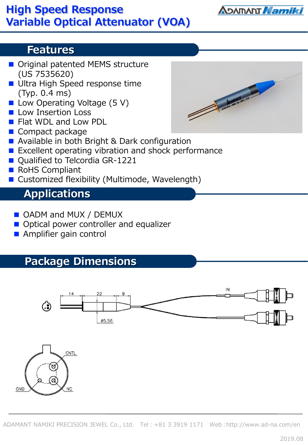## **High Speed Response Variable Optical Attenuator (VOA)**

### **Features**

- Original patented MEMS structure (US 7535620)
- Ultra High Speed response time (Typ. 0.4 ms)
- Low Operating Voltage (5 V)
- Low Insertion Loss
- Flat WDL and Low PDL
- Compact package
- Available in both Bright & Dark configuration
- Excellent operating vibration and shock performance
- Qualified to Telcordia GR-1221
- RoHS Compliant
- Customized flexibility (Multimode, Wavelength)

## **Applications**

- OADM and MUX / DEMUX
- Optical power controller and equalizer
- Amplifier gain control

## **Package Dimensions**





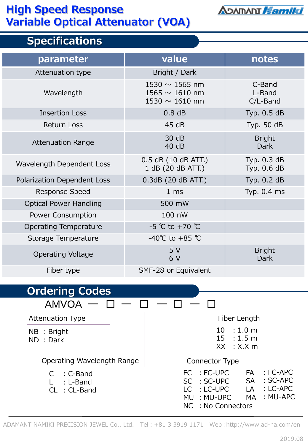### **High Speed Response Variable Optical Attenuator (VOA)**



## **Specifications**

| parameter                     | value                                                             | notes                        |
|-------------------------------|-------------------------------------------------------------------|------------------------------|
| Attenuation type              | Bright / Dark                                                     |                              |
| Wavelength                    | 1530 $\sim$ 1565 nm<br>1565 $\sim$ 1610 nm<br>1530 $\sim$ 1610 nm | C-Band<br>L-Band<br>C/L-Band |
| <b>Insertion Loss</b>         | 0.8 dB                                                            | Typ. 0.5 dB                  |
| <b>Return Loss</b>            | 45dB                                                              | Typ. 50 dB                   |
| <b>Attenuation Range</b>      | 30 dB<br>40dB                                                     | <b>Bright</b><br><b>Dark</b> |
| Wavelength Dependent Loss     | 0.5 dB (10 dB ATT.)<br>1 dB (20 dB ATT.)                          | Typ. 0.3 dB<br>Typ. 0.6 dB   |
| Polarization Dependent Loss   | 0.3dB (20 dB ATT.)                                                | Typ. 0.2 dB                  |
| <b>Response Speed</b>         | 1 <sub>ms</sub>                                                   | Typ. 0.4 ms                  |
| <b>Optical Power Handling</b> | 500 mW                                                            |                              |
| Power Consumption             | 100 nW                                                            |                              |
| <b>Operating Temperature</b>  | $-5$ °C to +70 °C                                                 |                              |
| Storage Temperature           | $-40^{\circ}$ C to +85 $^{\circ}$ C                               |                              |
| <b>Operating Voltage</b>      | 5V<br>6 V                                                         | <b>Bright</b><br><b>Dark</b> |
| Fiber type                    | SMF-28 or Equivalent                                              |                              |
| Ordaring Codac                |                                                                   |                              |



ADAMANT NAMIKI PRECISION JEWEL Co., Ltd. Tel:+81 3 3919 1171 Web :http://www.ad-na.com/en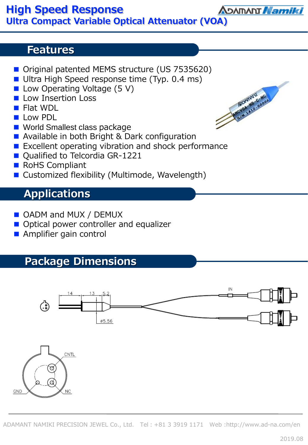#### **Features**

- Original patented MEMS structure (US 7535620)
- Ultra High Speed response time (Typ. 0.4 ms)
- Low Operating Voltage (5 V)
- Low Insertion Loss
- Flat WDL
- Low PDL
- World Smallest class package
- Available in both Bright & Dark configuration
- Excellent operating vibration and shock performance
- Qualified to Telcordia GR-1221
- RoHS Compliant
- Customized flexibility (Multimode, Wavelength)

# **Applications**

- OADM and MUX / DEMUX
- Optical power controller and equalizer
- Amplifier gain control

# **Package Dimensions**





2019.08